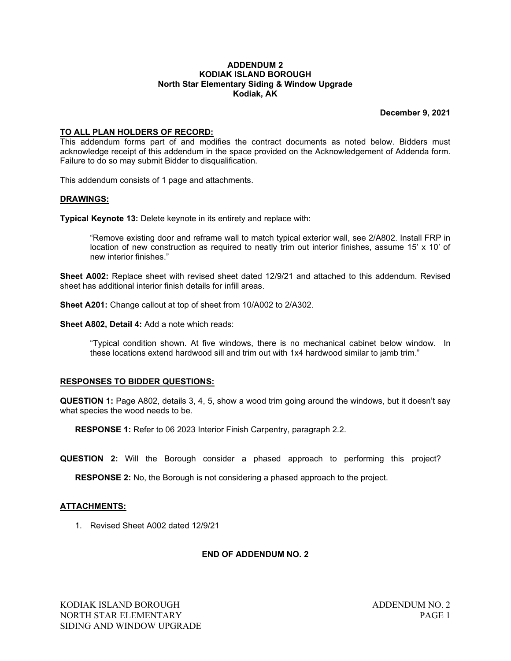### **ADDENDUM 2 KODIAK ISLAND BOROUGH North Star Elementary Siding & Window Upgrade Kodiak, AK**

**December 9, 2021**

## **TO ALL PLAN HOLDERS OF RECORD:**

This addendum forms part of and modifies the contract documents as noted below. Bidders must acknowledge receipt of this addendum in the space provided on the Acknowledgement of Addenda form. Failure to do so may submit Bidder to disqualification.

This addendum consists of 1 page and attachments.

### **DRAWINGS:**

**Typical Keynote 13:** Delete keynote in its entirety and replace with:

"Remove existing door and reframe wall to match typical exterior wall, see 2/A802. Install FRP in location of new construction as required to neatly trim out interior finishes, assume 15' x 10' of new interior finishes."

**Sheet A002:** Replace sheet with revised sheet dated 12/9/21 and attached to this addendum. Revised sheet has additional interior finish details for infill areas.

**Sheet A201:** Change callout at top of sheet from 10/A002 to 2/A302.

**Sheet A802, Detail 4:** Add a note which reads:

"Typical condition shown. At five windows, there is no mechanical cabinet below window. In these locations extend hardwood sill and trim out with 1x4 hardwood similar to jamb trim."

### **RESPONSES TO BIDDER QUESTIONS:**

**QUESTION 1:** Page A802, details 3, 4, 5, show a wood trim going around the windows, but it doesn't say what species the wood needs to be.

**RESPONSE 1:** Refer to 06 2023 Interior Finish Carpentry, paragraph 2.2.

**QUESTION 2:** Will the Borough consider a phased approach to performing this project?

**RESPONSE 2:** No, the Borough is not considering a phased approach to the project.

### **ATTACHMENTS:**

1. Revised Sheet A002 dated 12/9/21

# **END OF ADDENDUM NO. 2**